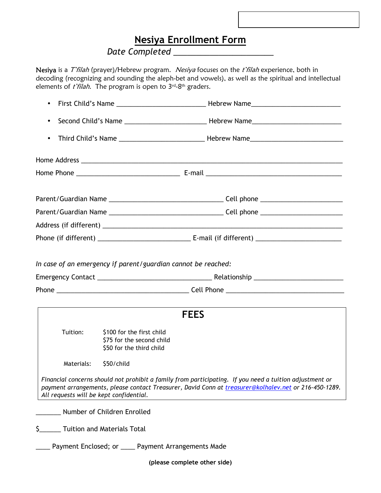## **Nesiya Enrollment Form**

## *Date Completed \_\_\_\_\_\_\_\_\_\_\_\_\_\_\_\_\_\_\_\_\_\_*

Nesiya is a T'filah (prayer)/Hebrew program. Nesiya focuses on the t'filah experience, both in decoding (recognizing and sounding the aleph-bet and vowels), as well as the spiritual and intellectual elements of  $t$ 'filah. The program is open to  $3^{rd}$ -8<sup>th</sup> graders.

| $\bullet$   |                                                                                    |  |  |  |
|-------------|------------------------------------------------------------------------------------|--|--|--|
| $\bullet$   |                                                                                    |  |  |  |
| $\bullet$   |                                                                                    |  |  |  |
|             |                                                                                    |  |  |  |
|             |                                                                                    |  |  |  |
|             |                                                                                    |  |  |  |
|             |                                                                                    |  |  |  |
|             |                                                                                    |  |  |  |
|             |                                                                                    |  |  |  |
|             | In case of an emergency if parent/guardian cannot be reached:                      |  |  |  |
|             |                                                                                    |  |  |  |
|             |                                                                                    |  |  |  |
| <b>FEES</b> |                                                                                    |  |  |  |
| Tuition:    | \$100 for the first child<br>\$75 for the second child<br>\$50 for the third child |  |  |  |
| Materials:  | \$50/child                                                                         |  |  |  |

*Financial concerns should not prohibit a family from participating. If you need a tuition adjustment or payment arrangements, please contact Treasurer, David Conn at treasurer@kolhalev.net or 216-450-1289. All requests will be kept confidential.*

\_\_\_\_\_\_\_ Number of Children Enrolled

\$\_\_\_\_\_\_ Tuition and Materials Total

\_\_\_\_ Payment Enclosed; or \_\_\_\_ Payment Arrangements Made

**(please complete other side)**